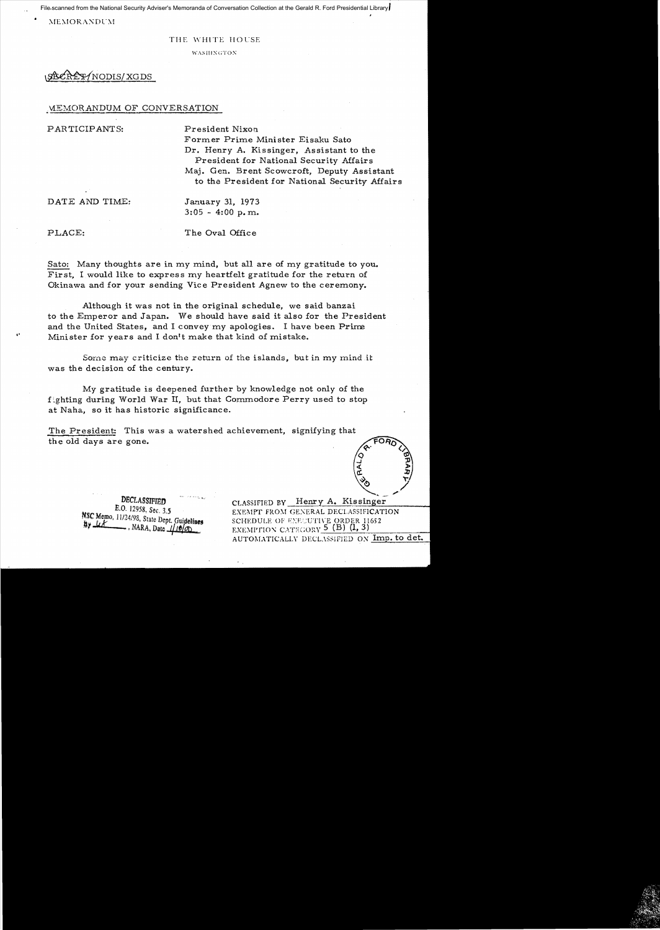File-scanned from the National Security Adviser's Memoranda of Conversation Collection at the Gerald R. Ford Presidential Library

**MEMORANDUM** 

#### THE WHITE HOUSE

WASHINGTON

# /NODIS/XGDS

#### MEMORANDUM OF CONVERSATION

PARTICIPANTS:

President Nixon Former Prime Minister Eisaku Sato Dr. Henry A. Kissinger, Assistant to the President for National Security Affairs Maj. Gen. Brent Scowcroft, Deputy Assistant to the President for National Security Affairs

DATE AND TIME:

January 31, 1973  $3:05 - 4:00$  p.m.

PLACE:

The Oval Office

Sato: Many thoughts are in my mind, but all are of my gratitude to you. First. I would like to express my heartfelt gratitude for the return of Okinawa and for your sending Vice President Agnew to the ceremony.

Although it was not in the original schedule, we said banzai to the Emperor and Japan. We should have said it also for the President and the United States, and I convey my apologies. I have been Prime Minister for years and I don't make that kind of mistake.

Some may criticize the return of the islands, but in my mind it was the decision of the century.

My gratitude is deepened further by knowledge not only of the fighting during World War II, but that Commodore Perry used to stop at Naha, so it has historic significance.

The President: This was a watershed achievement, signifying that the old days are gone.

DECLASSIFIED E.O. 12958, Sec. 3.5 NSC Memo, 11/24/98, State Dept. Guidelines  $\overline{\phantom{a}}$ , NARA, Date  $\sqrt{\frac{1}{2}}$ 

CLASSIFIED BY Henry A. Kissinger EXEMPT FROM GENERAL DECLASSIFICATION SCHEDULE OF EXECUTIVE ORDER 11652 EXEMPTION CATEGORY  $5$  (B) (1, 3) AUTOMATICALLY DECLASSIFIED ON Imp. to det.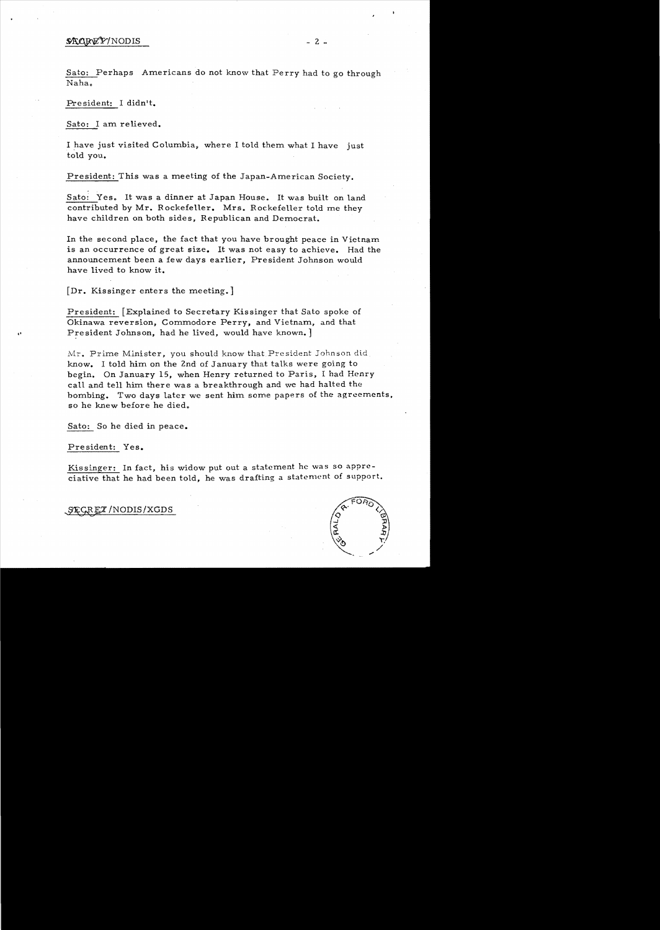#### $\mathcal{R} \triangle B \mathcal{R} \mathcal{V} / \text{NODIS}$   $2 -$

Sato: Perhaps Americans do not know that Perry had to go through Naha.

President: I didn't.

Sato: I am relieved.

I have just visited Columbia, where I told them what I have just told you.

President: This was a meeting of the Japan-American Society.

Sato: Yes. It was a dinner at Japan House. It was built on land contributed by Mr. Rockefeller. Mrs. Rockefeller told me they have children on both sides, Republican and Democrat.

In the second place, the fact that you have brought peace in Vietnam is an occurrence of great size. It was not easy to achieve. Had the announcement been a few days earlier, President Johnson would have lived to know it.

[Dr. Kissinger enters the meeting.]

President: [Explained to Secretary Kissinger that Sato spoke of Okinawa reversion, Commodore Perry, and Vietnam, and that President Johnson, had he lived, would have known. ]

Mr. Prime Minister, you should know that President Johnson did know. I told him on the 2nd of January that talks were going to begin. On January 15, when Henry returned to Paris, I had Henry call and tell him there was a breakthrough and we had halted the bombing. Two days later we sent him some papers of the agreements, so he knew before he died.

Sato: So he died in peace.

President: Yes.

Kissinger: In fact, his widow put out a statement he was so appreciative that he had been told, he was drafting a statement of support.

*SECRET* / NODIS/XGDS

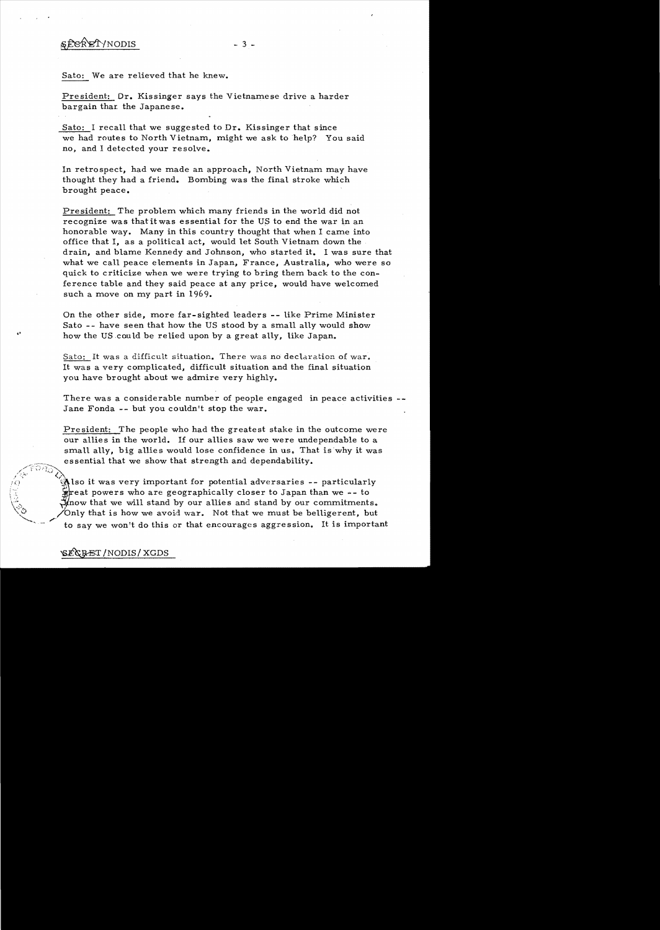## $$Eek\n  $^{\circ}$  - 3 -$

Sato: We are relieved that he knew.

President: Dr. Kissinger says the Vietnamese drive a harder bargain thar the Japanese.

Sato: I recall that we suggested to Dr. Kissinger that since we had routes to North Vietnam, might we ask to help? You said no, and I detected your resolve.

In retrospect, had we made an approach, North Vietnam may have thought they had a friend. Bombing was the final stroke which brought peace.

President: The problem which many friends in the world did not recognize was that it was essential for the US to end the war in an honorable way. Many in this country thought that when I came into office that I, as a political act, would let South Vietnam down the drain, and blame Kennedy and Johnson, who started it. I was sure that what we ca11 peace elements in Japan, France, Australia, who were so quick to criticize when we were trying to bring them back to the conference table and they said peace at any price, would have welcomed such a move on my part in 1969.

On the other side, more far-sighted leaders -- like Prime Minister Sato -- have seen that how the US stood by a sma11 ally would show how the US could be relied upon by a great ally, like Japan.

Sato: It was a difficult situation. There was no declaration of war. It was a very complicated, difficult situation and the final situation you have brought about we admire very highly.

There was a considerable number of people engaged in peace activities Jane Fonda -- but you couldn't stop the war.

President: The people who had the greatest stake in the outcome were our a11ies in the world. If our allies saw we were undependable to a small ally, big allies would lose confidence in us. That is why it was essential that we show that strength and dependability.

 $\left\langle \mathrm{P}^{\mathrm{FOR}}\right\rangle$ Also it was very important for potential adversaries -- particularly  $\frac{1}{2}$  reat powers who are geographically closer to Japan than we -- to Hnow that we will stand by our allies and stand by our commitments. Only that is how we avoid war. Not that we must be belligerent, but to say we won't do this or that encourages aggression. It is important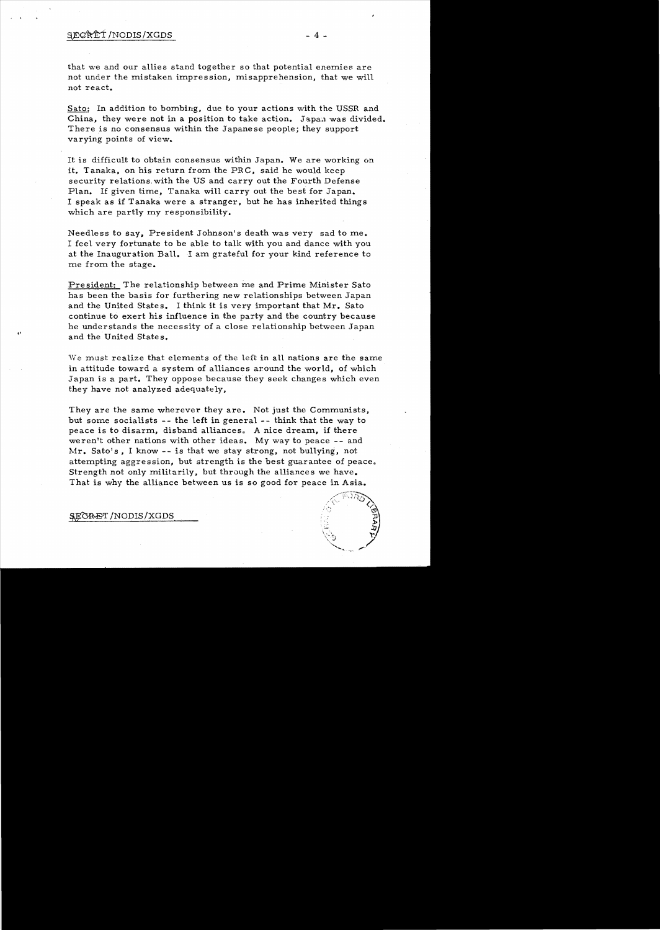### $\angle$   $\angle$  4 -

that we and our allies stand together so that potential enemies are not under the mistaken impression, misapprehension, that we will not react.

Sato; In addition to bombing, due to your actions with the USSR and China, they were not in a position to take action. Japan was divided. There is no consensus within the Japanese people; they support varying points of view.

It is difficult to obtain consensus within Japan. We are working on it. Tanaka, on his return from the PRC, said he would keep security relations. with the US and carry out the Fourth Defense Plan. If given time, Tanaka will carry out the best for Japan. I speak as if Tanaka were a stranger, but he has inherited things which are partly my responsibility.

Needless to say, President Johnson's death was very sad to me. I feel very fortunate to be able to talk with you and dance with you at the Inauguration Ball. I am grateful for your kind reference to me from the stage.

President: The relationship between me and Prime Minister Sato has been the basis for furthering new relationships between Japan and the United States. I think it is very important that Mr. Sato continue to exert his influence in the party and the country because he understands the necessity of a close relationship between Japan and the United States.

We must realize that elements of the left in all nations are the same in attitude toward a system of alliances around the world, of which Japan is a part. They oppose because they seek changes which even they have not analyzed adequately,

They are the same wherever they are. Not just the Communists, but some socialists -- the left in general -- think that the way to peace is to disarm, disband alliances. A nice dream, if there weren't other nations with other ideas. My way to peace -- and Mr. Sato's, I know -- is that we stay strong, not bullying, not attempting aggression, but strength is the best guarantee of peace. Strength not only militarily, but through the alliances we have. That is why the alliance between us is so good for peace in Asia.

.1

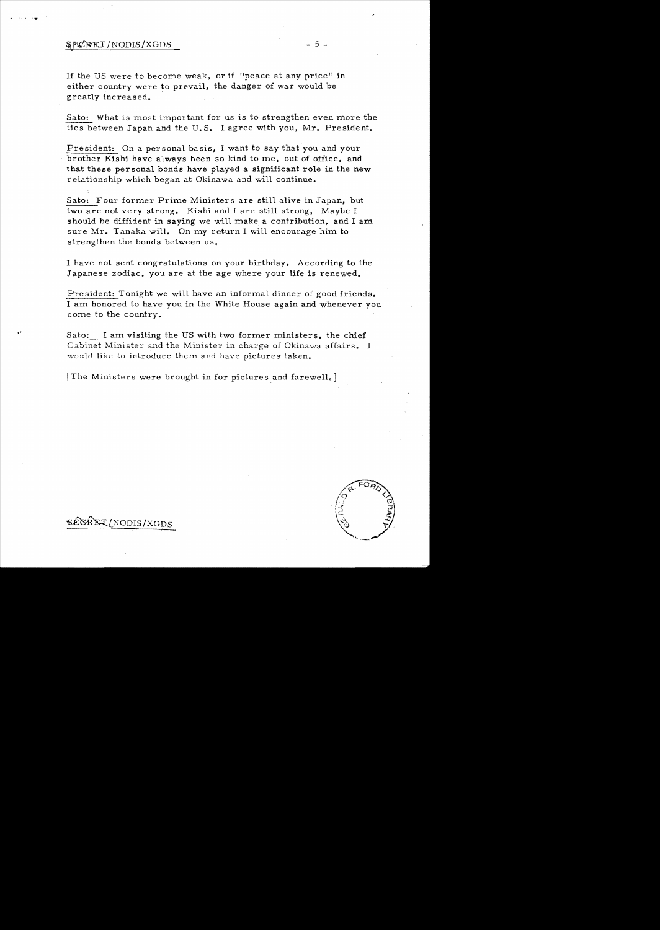#### *v*   $$R@RET/NODIS/XGDS$  - 5 -

... I. 'w

If the US were to become weak, or if  $"$  peace at any price" in either country were to prevail, the danger of war would be greatly increased.

Sato: What is most important for us is to strengthen even more the ties between Japan and the U. S. I agree with you, Mr. President.

President: On a personal basis, I want to say that you and your brother Kishi have always been so kind to me, out of office, and that these personal bonds have played a significant role in the new relationship which began at Okinawa and will continue.

Sato: Four former Prime Ministers are still alive in Japan, but two are not very strong. Kishi and I are still strong, Maybe I should be diffident in saying we will make a contribution, and I am sure Mr. Tanaka will. On my return I will encourage him to strengthen the bonds between us.

I have not sent congratulations on your birthday. According to the Japanese zodiac, you are at the age where your life is renewed.

President: Tonight we will have an informal dinner of good friends. I am honored to have you in the White House again and whenever you corne to the country.

Sato: I am visiting the US with two former ministers, the chief Cabinet Minister and the Minister in charge of Okinawa affairs. I would like to introduce them and have pictures taken.

[The Ministers were brought in for pictures and farewell. ]

SECREI/NODIS/XGDS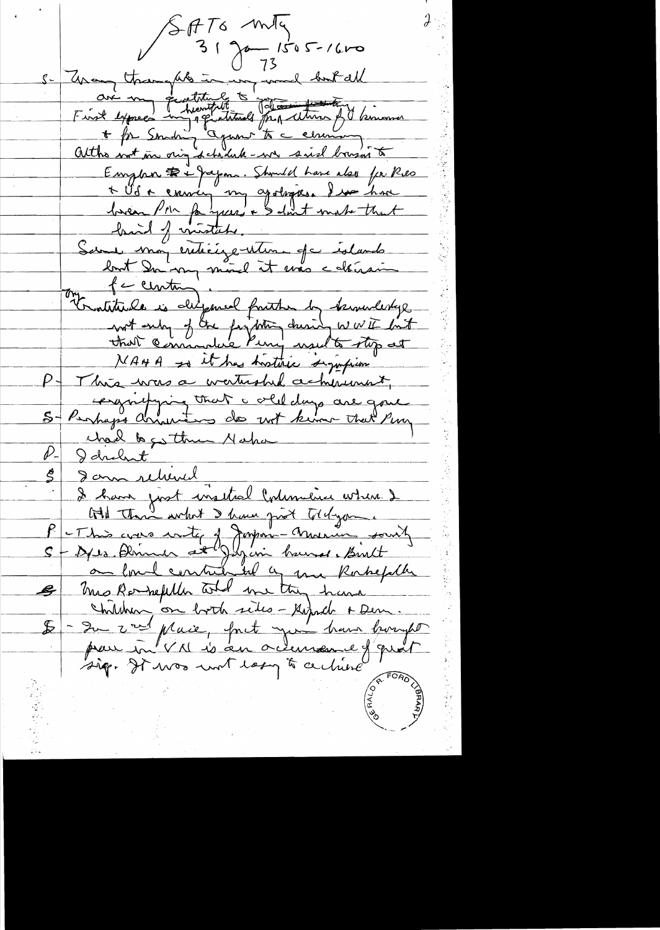SATO mly  $3190 - 1505 - 1600$ Unaug throughts in my word but all<br>are my questitute to reconstructions of the moment atthe nort in our schedule - we said bouser to Emplan De papar. Should have also for Res \* Vo ce envir my apologies. I un home bassen Poin fa years + & don't make that baid of minister Sur mon entiègentement de édands lost Du my more it mas celerais fa centing Tratitude is differed fruithe by terrenderlyg wit only of the fortition during wwith lint NAHA so it has hostilice significan P - This was a watership achievent, enjoying that a old days are gone charl to go this Naka P. I drobent <u>Jam rehend</u> I have just insited Colemanice where I At This what I have girl toldyon. -This was wite of Japan-Musica south<br>- Axes Perince at Japan bound. Birth mis Rempetition and me thing have Children, on both sides - Gerard + Den. - Su vert place, font you have bought pour in VN is an octenseme J'avais sig. It was unt lasy to certaine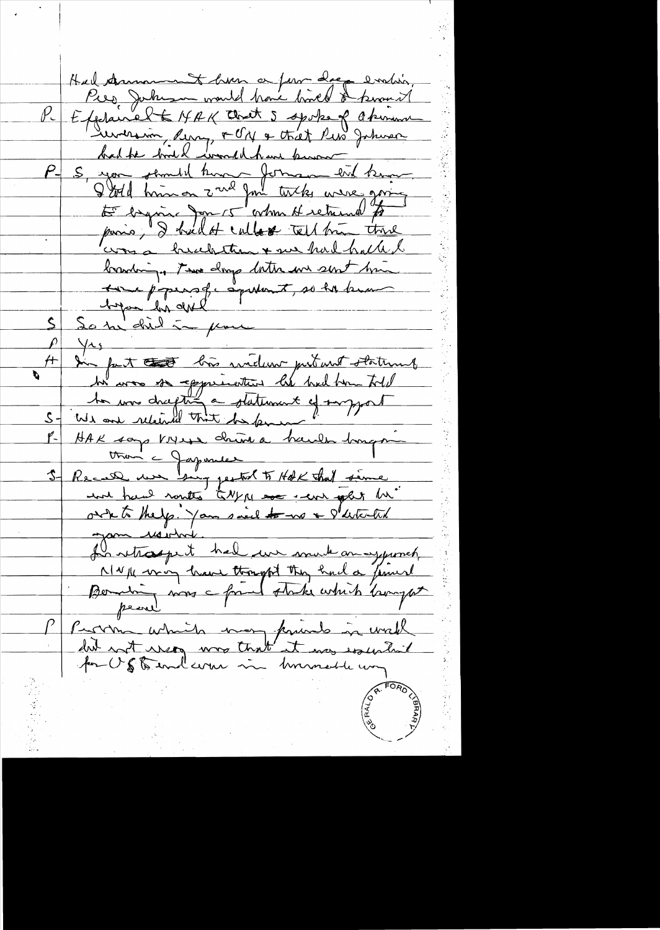Had Amment hver or for deep ending Explained to MAK that 5 spoke of Okinana <u>Lunerain, Rung, FON & that Pub Johnson</u> bad he bod & would have known 5, you sement hunt formen ent know was a hunchition + we had halled branding. The day dates in sent him Longen figures que aquitant, so la banca So the did in place  $\frac{1}{4}$ In fact that his widow putant statent  $\begin{array}{c|c|c|c|c} \hline \rule{0pt}{2ex} & \rule{0pt}{2ex} & \rule{0pt}{2ex} \\ \hline \rule{0pt}{2ex} & \rule{0pt}{2ex} & \rule{0pt}{2ex} \\ \hline \rule{0pt}{2ex} & \rule{0pt}{2ex} & \rule{0pt}{2ex} \\ \hline \rule{0pt}{2ex} & \rule{0pt}{2ex} & \rule{0pt}{2ex} \\ \hline \rule{0pt}{2ex} & \rule{0pt}{2ex} & \rule{0pt}{2ex} \\ \hline \rule{0pt}{2ex} & \rule{0pt}{2ex} & \rule{0pt}{2ex} \\ \hline \rule{0$ HAK som VNess chine à hault hongs than a Japanese Recall we big pertol to HAK that same we had routes to Ny me we get out to thelp. You said to no a gatement gam révolut. La retraspect hal un much an aggurnet NWIK von have thought they had a finish Problem which was paint in wall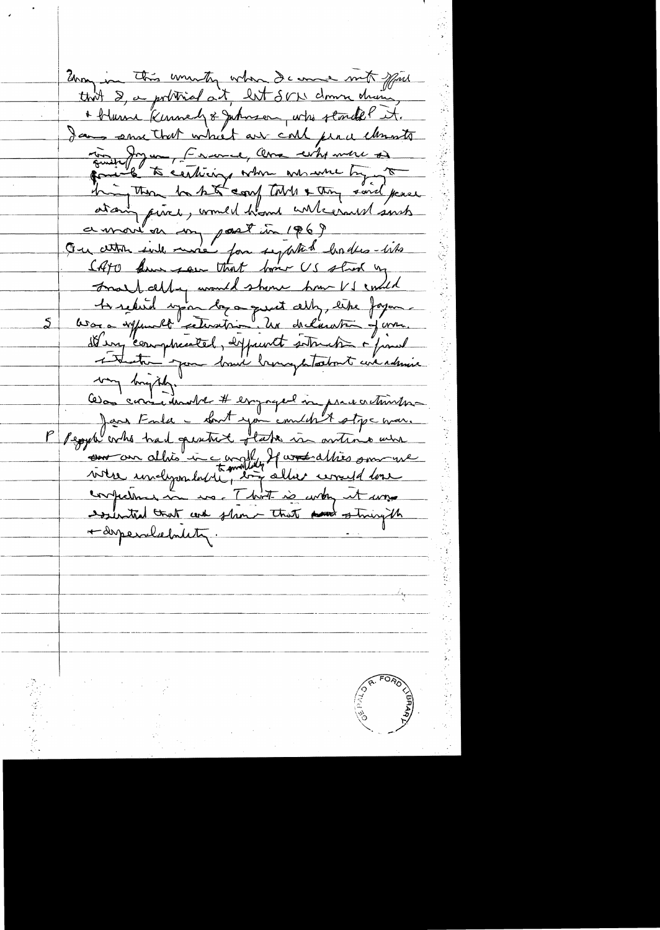Zony in this unwiting when I came mit spiel that 2, a portriod at, let SVN down drain + blum Kunnedy & Juhnson, who stored ! it. Jans smallret which are coll per a chants Emile Jagua, Crance, Avec who more of him those hast coup tout & they said peace a mois en un post in 1869 CATO have seen that former US stred by Frank cept unant to show how VS ended to reduid upon la a quest ally, like fagon les a expendit ceteration. Un declaration java.  $\bm{\mathcal{S}}$ It en comptrented, expendt sottende à final comment alhionnement aux des sous ment confections in us. That is won it was essented that and shown that was stringth + desperaliefondaty.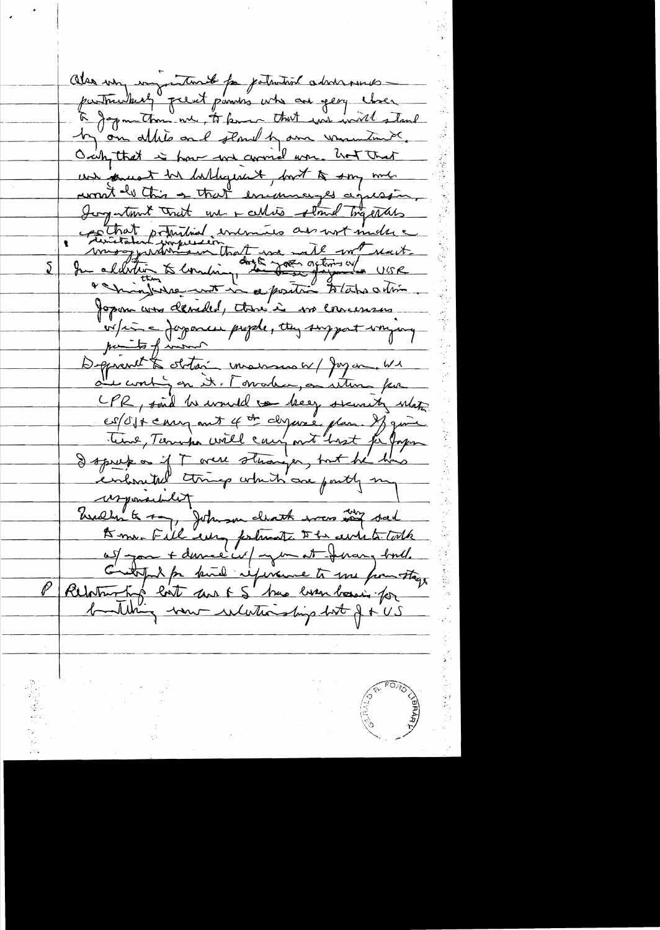Also un important for patricial advisances particularly prent punis who are yeary closer by on allite and stand by one ununtime Orch, that is how we comed was hot that un famest bir hablequent, bout to sony mil. won't be this a that encourages agressin. Jog tout that we - whis stand trapaters Chat printed entrer au not matre  $\sum$ Jopan avec decided, there's is no concernance. v/ci = Japanes prepele, tten surport unique parts of invent Deprent to obtain marsus w/ Jay on We de contign it. Towarder, on return par CPR, said he would to beg security what es/Oft carry ant 4 th dyane plan. If give<br>Teme, Tennepa will carry ant hast for fragen wrponachly Wedly to my, Johnson cleark was in sel Dome-Fill europealant De event talk auf pour + dernier in / mar at Jerang bord. C'entreprend par binde réponne to me pour stage building von whethership but f + US

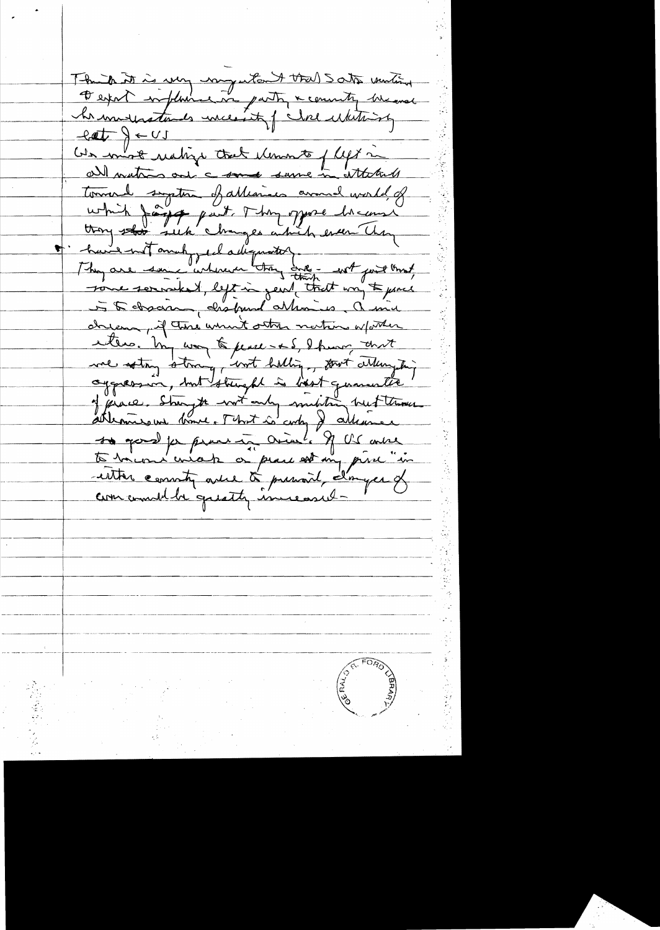The to it is very nongestant that Sats untient  $cy = \sqrt{4 \pm 1}$ C'en mot ustige that université flys in all mations ont a same same in attached tournal suption of allegiaco around world, of<br>which farge part. They oppose homeons or hundred make el adequation. We with find that cheesen, if the went other nations whether enters. I'm was to peace - and I hum and we soting storing, but halling, four attempts aggnession, mit strught is best quanwitte!<br>of prace, Strayte with only midstra but those to good for prove in Orial, of US oute